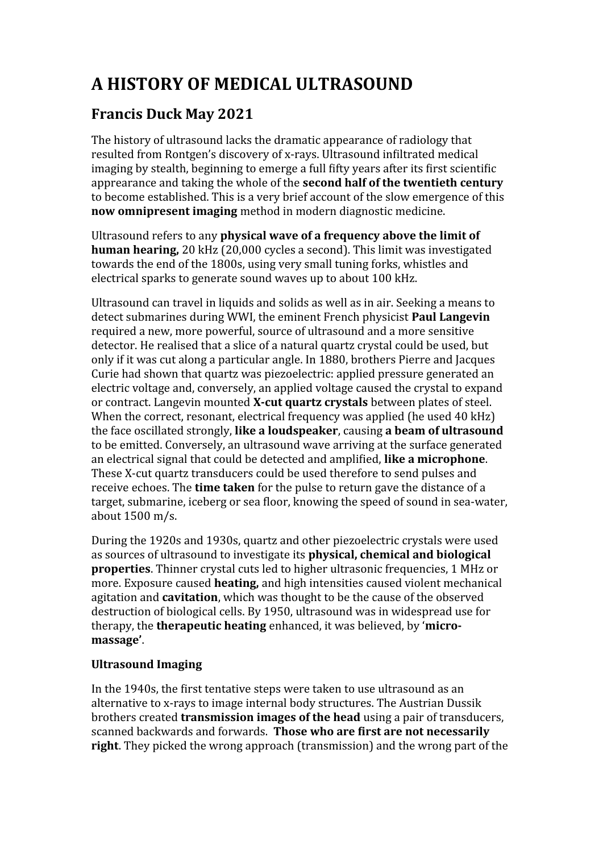# **A HISTORY OF MEDICAL ULTRASOUND**

# **Francis Duck May 2021**

The history of ultrasound lacks the dramatic appearance of radiology that resulted from Rontgen's discovery of x-rays. Ultrasound infiltrated medical imaging by stealth, beginning to emerge a full fifty years after its first scientific apprearance and taking the whole of the **second half of the twentieth century** to become established. This is a very brief account of the slow emergence of this **now omnipresent imaging** method in modern diagnostic medicine.

Ultrasound refers to any **physical wave of a frequency above the limit of human hearing,** 20 kHz (20,000 cycles a second). This limit was investigated towards the end of the 1800s, using very small tuning forks, whistles and electrical sparks to generate sound waves up to about 100 kHz.

Ultrasound can travel in liquids and solids as well as in air. Seeking a means to detect submarines during WWI, the eminent French physicist **Paul Langevin** required a new, more powerful, source of ultrasound and a more sensitive detector. He realised that a slice of a natural quartz crystal could be used, but only if it was cut along a particular angle. In 1880, brothers Pierre and Jacques Curie had shown that quartz was piezoelectric: applied pressure generated an electric voltage and, conversely, an applied voltage caused the crystal to expand or contract. Langevin mounted **X-cut quartz crystals** between plates of steel. When the correct, resonant, electrical frequency was applied (he used 40 kHz) the face oscillated strongly, **like a loudspeaker**, causing **a beam of ultrasound** to be emitted. Conversely, an ultrasound wave arriving at the surface generated an electrical signal that could be detected and amplified, **like a microphone**. These X-cut quartz transducers could be used therefore to send pulses and receive echoes. The **time taken** for the pulse to return gave the distance of a target, submarine, iceberg or sea floor, knowing the speed of sound in sea-water, about 1500 m/s.

During the 1920s and 1930s, quartz and other piezoelectric crystals were used as sources of ultrasound to investigate its **physical, chemical and biological properties**. Thinner crystal cuts led to higher ultrasonic frequencies, 1 MHz or more. Exposure caused **heating,** and high intensities caused violent mechanical agitation and **cavitation**, which was thought to be the cause of the observed destruction of biological cells. By 1950, ultrasound was in widespread use for therapy, the **therapeutic heating** enhanced, it was believed, by '**micromassage'**.

# **Ultrasound Imaging**

In the 1940s, the first tentative steps were taken to use ultrasound as an alternative to x-rays to image internal body structures. The Austrian Dussik brothers created **transmission images of the head** using a pair of transducers, scanned backwards and forwards. **Those who are first are not necessarily right**. They picked the wrong approach (transmission) and the wrong part of the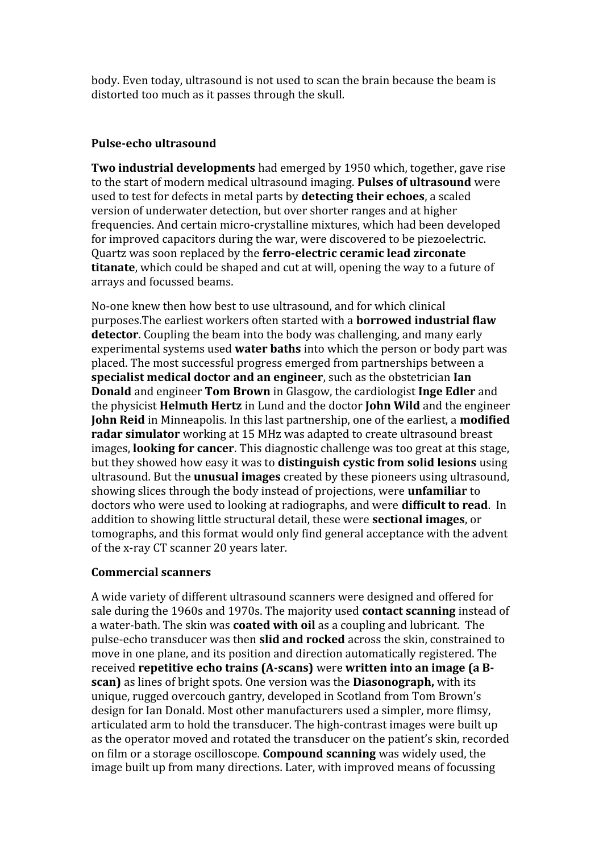body. Even today, ultrasound is not used to scan the brain because the beam is distorted too much as it passes through the skull.

#### **Pulse-echo ultrasound**

**Two industrial developments** had emerged by 1950 which, together, gave rise to the start of modern medical ultrasound imaging. **Pulses of ultrasound** were used to test for defects in metal parts by **detecting their echoes**, a scaled version of underwater detection, but over shorter ranges and at higher frequencies. And certain micro-crystalline mixtures, which had been developed for improved capacitors during the war, were discovered to be piezoelectric. Quartz was soon replaced by the **ferro-electric ceramic lead zirconate titanate**, which could be shaped and cut at will, opening the way to a future of arrays and focussed beams.

No-one knew then how best to use ultrasound, and for which clinical purposes.The earliest workers often started with a **borrowed industrial flaw detector**. Coupling the beam into the body was challenging, and many early experimental systems used **water baths** into which the person or body part was placed. The most successful progress emerged from partnerships between a **specialist medical doctor and an engineer**, such as the obstetrician **Ian Donald** and engineer **Tom Brown** in Glasgow, the cardiologist **Inge Edler** and the physicist **Helmuth Hertz** in Lund and the doctor **John Wild** and the engineer **John Reid** in Minneapolis. In this last partnership, one of the earliest, a **modified radar simulator** working at 15 MHz was adapted to create ultrasound breast images, **looking for cancer**. This diagnostic challenge was too great at this stage, but they showed how easy it was to **distinguish cystic from solid lesions** using ultrasound. But the **unusual images** created by these pioneers using ultrasound, showing slices through the body instead of projections, were **unfamiliar** to doctors who were used to looking at radiographs, and were **difficult to read**. In addition to showing little structural detail, these were **sectional images**, or tomographs, and this format would only find general acceptance with the advent of the x-ray CT scanner 20 years later.

#### **Commercial scanners**

A wide variety of different ultrasound scanners were designed and offered for sale during the 1960s and 1970s. The majority used **contact scanning** instead of a water-bath. The skin was **coated with oil** as a coupling and lubricant. The pulse-echo transducer was then **slid and rocked** across the skin, constrained to move in one plane, and its position and direction automatically registered. The received **repetitive echo trains (A-scans)** were **written into an image (a Bscan)** as lines of bright spots. One version was the **Diasonograph,** with its unique, rugged overcouch gantry, developed in Scotland from Tom Brown's design for Ian Donald. Most other manufacturers used a simpler, more flimsy, articulated arm to hold the transducer. The high-contrast images were built up as the operator moved and rotated the transducer on the patient's skin, recorded on film or a storage oscilloscope. **Compound scanning** was widely used, the image built up from many directions. Later, with improved means of focussing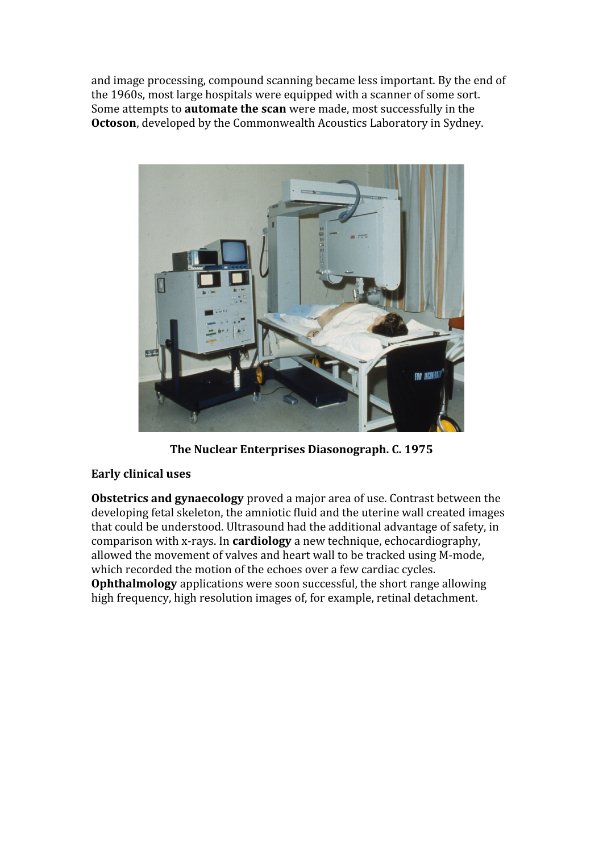and image processing, compound scanning became less important. By the end of the 1960s, most large hospitals were equipped with a scanner of some sort. Some attempts to **automate the scan** were made, most successfully in the **Octoson**, developed by the Commonwealth Acoustics Laboratory in Sydney.



**The Nuclear Enterprises Diasonograph. C. 1975**

#### **Early clinical uses**

**Obstetrics and gynaecology** proved a major area of use. Contrast between the developing fetal skeleton, the amniotic fluid and the uterine wall created images that could be understood. Ultrasound had the additional advantage of safety, in comparison with x-rays. In **cardiology** a new technique, echocardiography, allowed the movement of valves and heart wall to be tracked using M-mode, which recorded the motion of the echoes over a few cardiac cycles. **Ophthalmology** applications were soon successful, the short range allowing high frequency, high resolution images of, for example, retinal detachment.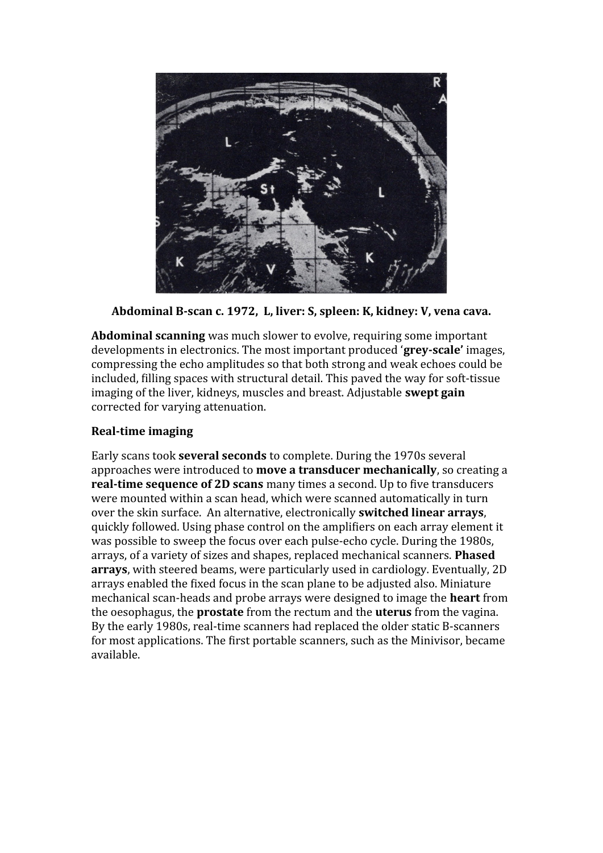

**Abdominal B-scan c. 1972, L, liver: S, spleen: K, kidney: V, vena cava.**

**Abdominal scanning** was much slower to evolve, requiring some important developments in electronics. The most important produced '**grey-scale'** images, compressing the echo amplitudes so that both strong and weak echoes could be included, filling spaces with structural detail. This paved the way for soft-tissue imaging of the liver, kidneys, muscles and breast. Adjustable **swept gain** corrected for varying attenuation.

## **Real-time imaging**

Early scans took **several seconds** to complete. During the 1970s several approaches were introduced to **move a transducer mechanically**, so creating a **real-time sequence of 2D scans** many times a second. Up to five transducers were mounted within a scan head, which were scanned automatically in turn over the skin surface. An alternative, electronically **switched linear arrays**, quickly followed. Using phase control on the amplifiers on each array element it was possible to sweep the focus over each pulse-echo cycle. During the 1980s, arrays, of a variety of sizes and shapes, replaced mechanical scanners. **Phased arrays**, with steered beams, were particularly used in cardiology. Eventually, 2D arrays enabled the fixed focus in the scan plane to be adjusted also. Miniature mechanical scan-heads and probe arrays were designed to image the **heart** from the oesophagus, the **prostate** from the rectum and the **uterus** from the vagina. By the early 1980s, real-time scanners had replaced the older static B-scanners for most applications. The first portable scanners, such as the Minivisor, became available.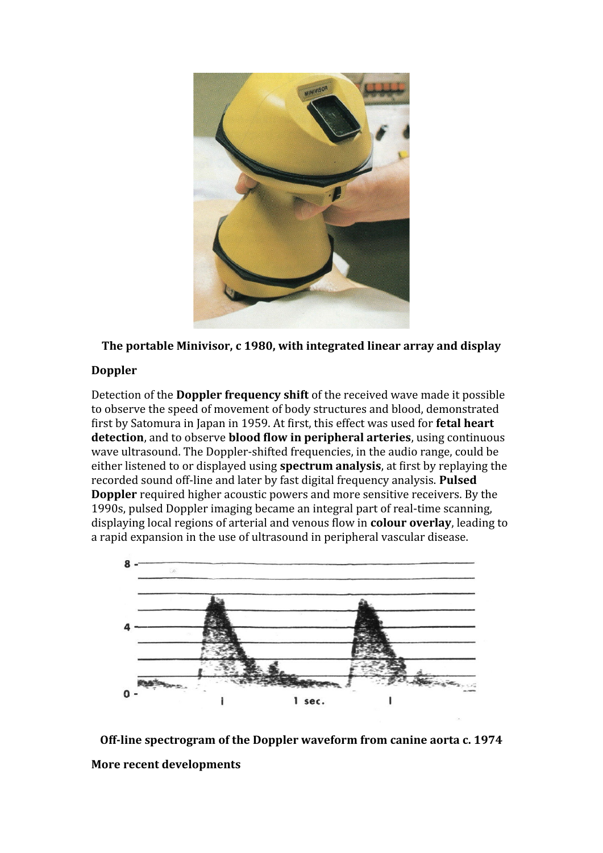

**The portable Minivisor, c 1980, with integrated linear array and display**

### **Doppler**

Detection of the **Doppler frequency shift** of the received wave made it possible to observe the speed of movement of body structures and blood, demonstrated first by Satomura in Japan in 1959. At first, this effect was used for **fetal heart detection**, and to observe **blood flow in peripheral arteries**, using continuous wave ultrasound. The Doppler-shifted frequencies, in the audio range, could be either listened to or displayed using **spectrum analysis**, at first by replaying the recorded sound off-line and later by fast digital frequency analysis. **Pulsed Doppler** required higher acoustic powers and more sensitive receivers. By the 1990s, pulsed Doppler imaging became an integral part of real-time scanning, displaying local regions of arterial and venous flow in **colour overlay**, leading to a rapid expansion in the use of ultrasound in peripheral vascular disease.



**Off-line spectrogram of the Doppler waveform from canine aorta c. 1974 More recent developments**